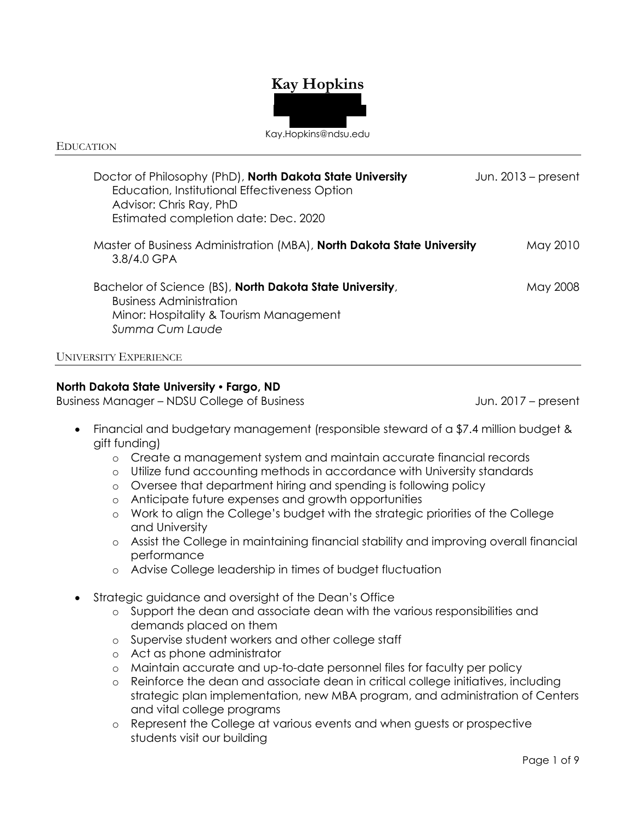# **Kay Hopkins**



#### EDUCATION

| Doctor of Philosophy (PhD), North Dakota State University<br>Education, Institutional Effectiveness Option<br>Advisor: Chris Ray, PhD<br>Estimated completion date: Dec. 2020 | Jun. $2013$ – present |
|-------------------------------------------------------------------------------------------------------------------------------------------------------------------------------|-----------------------|
| Master of Business Administration (MBA), North Dakota State University<br>3.8/4.0 GPA                                                                                         | May 2010              |
| Bachelor of Science (BS), North Dakota State University,<br><b>Business Administration</b><br>Minor: Hospitality & Tourism Management<br>Summa Cum Laude                      | May 2008              |
| <b>UNIVERSITY EXPERIENCE</b>                                                                                                                                                  |                       |

# **North Dakota State University • Fargo, ND**

Business Manager – NDSU College of Business June 1997 – Jun. 2017 – present

- Financial and budgetary management (responsible steward of a \$7.4 million budget & gift funding)
	- o Create a management system and maintain accurate financial records
	- o Utilize fund accounting methods in accordance with University standards
	- o Oversee that department hiring and spending is following policy
	- o Anticipate future expenses and growth opportunities
	- o Work to align the College's budget with the strategic priorities of the College and University
	- o Assist the College in maintaining financial stability and improving overall financial performance
	- o Advise College leadership in times of budget fluctuation
- Strategic guidance and oversight of the Dean's Office
	- o Support the dean and associate dean with the various responsibilities and demands placed on them
	- o Supervise student workers and other college staff
	- o Act as phone administrator
	- o Maintain accurate and up-to-date personnel files for faculty per policy
	- o Reinforce the dean and associate dean in critical college initiatives, including strategic plan implementation, new MBA program, and administration of Centers and vital college programs
	- o Represent the College at various events and when guests or prospective students visit our building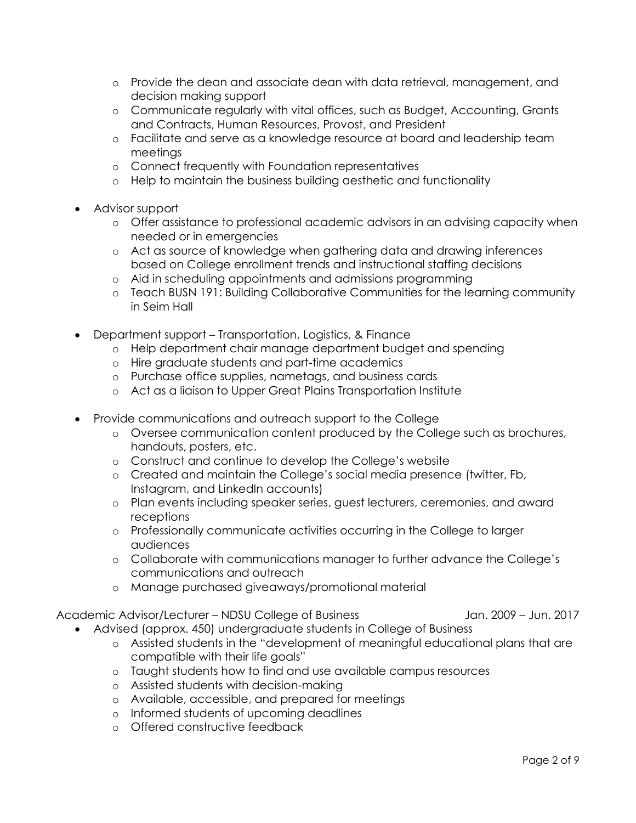- o Provide the dean and associate dean with data retrieval, management, and decision making support
- o Communicate regularly with vital offices, such as Budget, Accounting, Grants and Contracts, Human Resources, Provost, and President
- o Facilitate and serve as a knowledge resource at board and leadership team meetings
- o Connect frequently with Foundation representatives
- o Help to maintain the business building aesthetic and functionality
- Advisor support
	- o Offer assistance to professional academic advisors in an advising capacity when needed or in emergencies
	- o Act as source of knowledge when gathering data and drawing inferences based on College enrollment trends and instructional staffing decisions
	- o Aid in scheduling appointments and admissions programming
	- o Teach BUSN 191: Building Collaborative Communities for the learning community in Seim Hall
- Department support Transportation, Logistics, & Finance
	- o Help department chair manage department budget and spending
	- o Hire graduate students and part-time academics
	- o Purchase office supplies, nametags, and business cards
	- o Act as a liaison to Upper Great Plains Transportation Institute
- Provide communications and outreach support to the College
	- o Oversee communication content produced by the College such as brochures, handouts, posters, etc.
	- o Construct and continue to develop the College's website
	- o Created and maintain the College's social media presence (twitter, Fb, Instagram, and LinkedIn accounts)
	- o Plan events including speaker series, guest lecturers, ceremonies, and award receptions
	- o Professionally communicate activities occurring in the College to larger audiences
	- o Collaborate with communications manager to further advance the College's communications and outreach
	- o Manage purchased giveaways/promotional material

Academic Advisor/Lecturer – NDSU College of Business Jan. 2009 – Jun. 2017

- Advised (approx. 450) undergraduate students in College of Business
	- o Assisted students in the "development of meaningful educational plans that are compatible with their life goals"
	- o Taught students how to find and use available campus resources
	- o Assisted students with decision-making
	- o Available, accessible, and prepared for meetings
	- o Informed students of upcoming deadlines
	- o Offered constructive feedback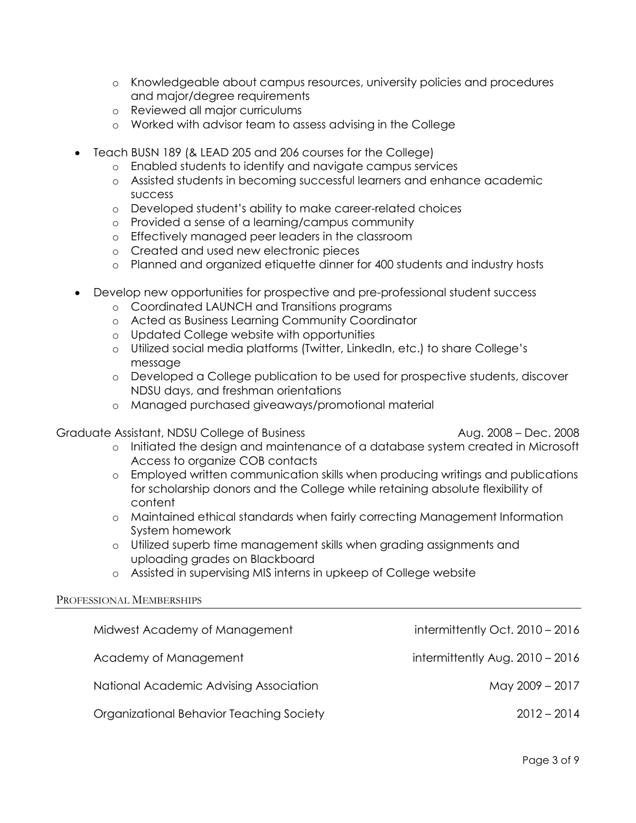- o Knowledgeable about campus resources, university policies and procedures and major/degree requirements
- o Reviewed all major curriculums
- o Worked with advisor team to assess advising in the College
- Teach BUSN 189 (& LEAD 205 and 206 courses for the College)
	- o Enabled students to identify and navigate campus services
	- o Assisted students in becoming successful learners and enhance academic success
	- o Developed student's ability to make career-related choices
	- o Provided a sense of a learning/campus community
	- o Effectively managed peer leaders in the classroom
	- o Created and used new electronic pieces
	- o Planned and organized etiquette dinner for 400 students and industry hosts
- Develop new opportunities for prospective and pre-professional student success
	- o Coordinated LAUNCH and Transitions programs
	- o Acted as Business Learning Community Coordinator
	- o Updated College website with opportunities
	- o Utilized social media platforms (Twitter, LinkedIn, etc.) to share College's message
	- o Developed a College publication to be used for prospective students, discover NDSU days, and freshman orientations
	- o Managed purchased giveaways/promotional material

# Graduate Assistant, NDSU College of Business Aug. 2008 – Dec. 2008 – Dec. 2008

- o Initiated the design and maintenance of a database system created in Microsoft Access to organize COB contacts
- o Employed written communication skills when producing writings and publications for scholarship donors and the College while retaining absolute flexibility of content
- o Maintained ethical standards when fairly correcting Management Information System homework
- o Utilized superb time management skills when grading assignments and uploading grades on Blackboard
- o Assisted in supervising MIS interns in upkeep of College website

#### PROFESSIONAL MEMBERSHIPS

| Midwest Academy of Management            | intermittently Oct. 2010 - 2016   |
|------------------------------------------|-----------------------------------|
| Academy of Management                    | intermittently Aug. $2010 - 2016$ |
| National Academic Advising Association   | May 2009 - 2017                   |
| Organizational Behavior Teaching Society | $2012 - 2014$                     |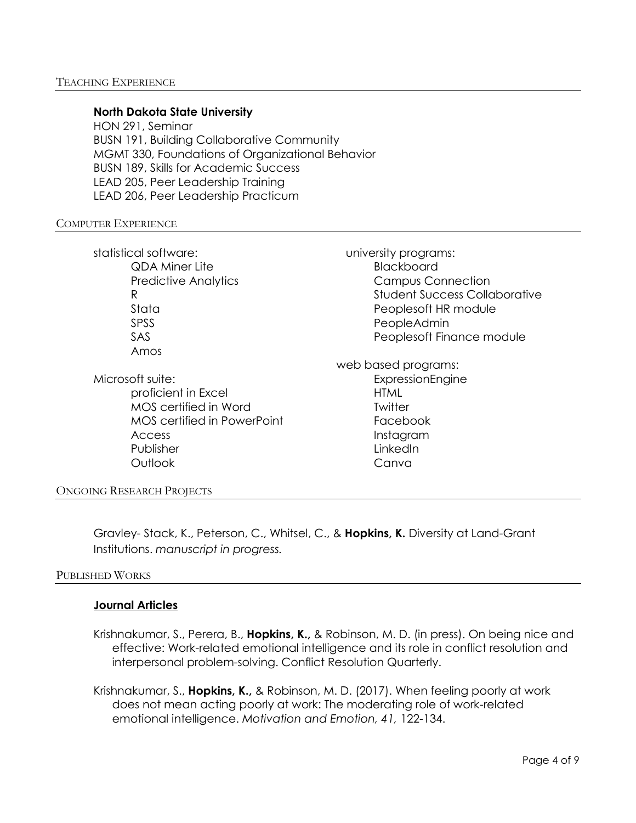### **North Dakota State University**

HON 291, Seminar BUSN 191, Building Collaborative Community MGMT 330, Foundations of Organizational Behavior BUSN 189, Skills for Academic Success LEAD 205, Peer Leadership Training LEAD 206, Peer Leadership Practicum

#### COMPUTER EXPERIENCE

statistical software: QDA Miner Lite Predictive Analytics R Stata SPSS SAS Amos

Microsoft suite:

proficient in Excel MOS certified in Word MOS certified in PowerPoint Access Publisher **Outlook** 

university programs: Blackboard Campus Connection Student Success Collaborative Peoplesoft HR module PeopleAdmin Peoplesoft Finance module

web based programs: ExpressionEngine HTML **Twitter** Facebook Instagram LinkedIn Canva

#### ONGOING RESEARCH PROJECTS

Gravley- Stack, K., Peterson, C., Whitsel, C., & **Hopkins, K.** Diversity at Land-Grant Institutions. *manuscript in progress.*

#### PUBLISHED WORKS

#### **Journal Articles**

Krishnakumar, S., Perera, B., **Hopkins, K.,** & Robinson, M. D. (in press). On being nice and effective: Work-related emotional intelligence and its role in conflict resolution and interpersonal problem-solving. Conflict Resolution Quarterly.

Krishnakumar, S., **Hopkins, K.,** & Robinson, M. D. (2017). When feeling poorly at work does not mean acting poorly at work: The moderating role of work-related emotional intelligence. *Motivation and Emotion, 41,* 122-134.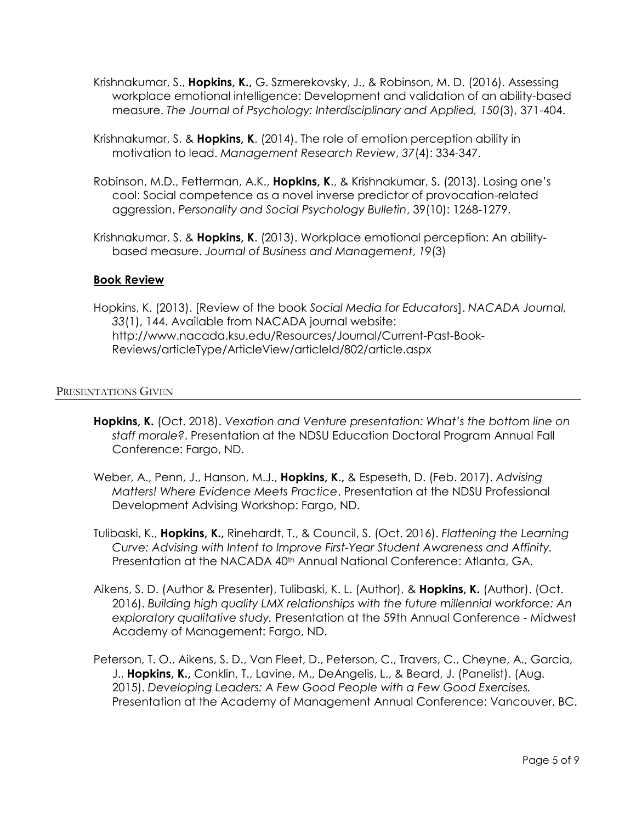- Krishnakumar, S., **Hopkins, K.,** G. Szmerekovsky, J., & Robinson, M. D. (2016). Assessing workplace emotional intelligence: Development and validation of an ability-based measure. *The Journal of Psychology: Interdisciplinary and Applied, 150*(3), 371-404.
- Krishnakumar, S. & **Hopkins, K**. (2014). The role of emotion perception ability in motivation to lead. *Management Research Review*, *37*(4): 334-347.
- Robinson, M.D., Fetterman, A.K., **Hopkins, K**., & Krishnakumar, S. (2013). Losing one's cool: Social competence as a novel inverse predictor of provocation-related aggression. *Personality and Social Psychology Bulletin*, 39(10): 1268-1279.
- Krishnakumar, S. & **Hopkins, K**. (2013). Workplace emotional perception: An abilitybased measure. *Journal of Business and Management*, *19*(3)

# **Book Review**

Hopkins, K. (2013). [Review of the book *Social Media for Educators*]. *NACADA Journal, 33*(1), 144. Available from NACADA journal website: http://www.nacada.ksu.edu/Resources/Journal/Current-Past-Book-Reviews/articleType/ArticleView/articleId/802/article.aspx

#### PRESENTATIONS GIVEN

- **Hopkins, K.** (Oct. 2018). *Vexation and Venture presentation: What's the bottom line on staff morale?*. Presentation at the NDSU Education Doctoral Program Annual Fall Conference: Fargo, ND.
- Weber, A., Penn, J., Hanson, M.J., **Hopkins, K**.**,** & Espeseth, D. (Feb. 2017). *Advising Matters! Where Evidence Meets Practice*. Presentation at the NDSU Professional Development Advising Workshop: Fargo, ND.
- Tulibaski, K., **Hopkins, K.,** Rinehardt, T., & Council, S. (Oct. 2016). *Flattening the Learning Curve: Advising with Intent to Improve First-Year Student Awareness and Affinity.* Presentation at the NACADA 40<sup>th</sup> Annual National Conference: Atlanta, GA.
- Aikens, S. D. (Author & Presenter), Tulibaski, K. L. (Author), & **Hopkins, K.** (Author). (Oct. 2016). *Building high quality LMX relationships with the future millennial workforce: An exploratory qualitative study.* Presentation at the 59th Annual Conference - Midwest Academy of Management: Fargo, ND.
- Peterson, T. O., Aikens, S. D., Van Fleet, D., Peterson, C., Travers, C., Cheyne, A., Garcia, J., **Hopkins, K.,** Conklin, T., Lavine, M., DeAngelis, L., & Beard, J. (Panelist). (Aug. 2015). *Developing Leaders: A Few Good People with a Few Good Exercises.* Presentation at the Academy of Management Annual Conference: Vancouver, BC.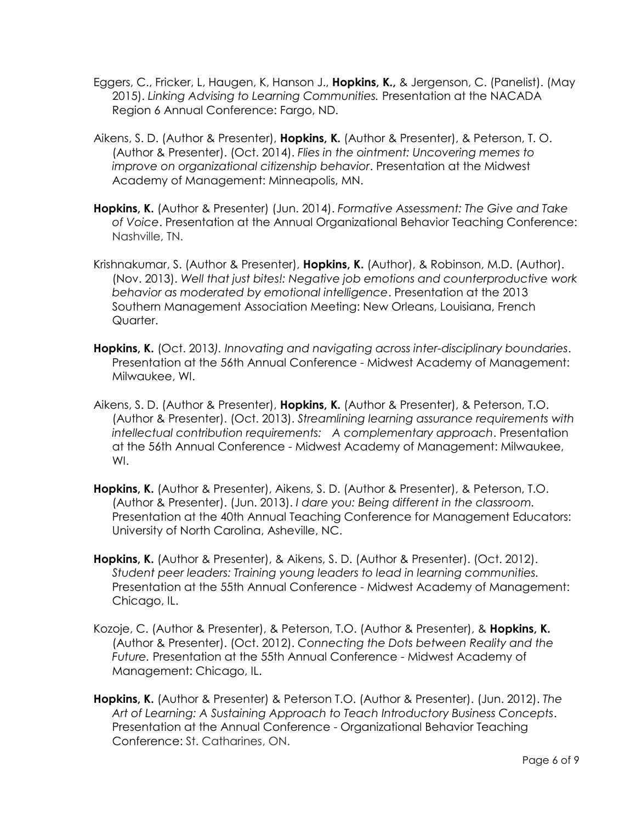- Eggers, C., Fricker, L, Haugen, K, Hanson J., **Hopkins, K.,** & Jergenson, C. (Panelist). (May 2015). *Linking Advising to Learning Communities.* Presentation at the NACADA Region 6 Annual Conference: Fargo, ND.
- Aikens, S. D. (Author & Presenter), **Hopkins, K.** (Author & Presenter), & Peterson, T. O. (Author & Presenter). (Oct. 2014). *Flies in the ointment: Uncovering memes to improve on organizational citizenship behavior*. Presentation at the Midwest Academy of Management: Minneapolis, MN.
- **Hopkins, K.** (Author & Presenter) (Jun. 2014). *Formative Assessment: The Give and Take of Voice*. Presentation at the Annual Organizational Behavior Teaching Conference: Nashville, TN.
- Krishnakumar, S. (Author & Presenter), **Hopkins, K.** (Author), & Robinson, M.D. (Author). (Nov. 2013). *Well that just bites!: Negative job emotions and counterproductive work behavior as moderated by emotional intelligence*. Presentation at the 2013 Southern Management Association Meeting: New Orleans, Louisiana, French Quarter.
- **Hopkins, K.** (Oct. 2013*). Innovating and navigating across inter-disciplinary boundaries*. Presentation at the 56th Annual Conference - Midwest Academy of Management: Milwaukee, WI.
- Aikens, S. D. (Author & Presenter), **Hopkins, K.** (Author & Presenter), & Peterson, T.O. (Author & Presenter). (Oct. 2013). *Streamlining learning assurance requirements with intellectual contribution requirements: A complementary approach*. Presentation at the 56th Annual Conference - Midwest Academy of Management: Milwaukee, WI.
- **Hopkins, K.** (Author & Presenter), Aikens, S. D. (Author & Presenter), & Peterson, T.O. (Author & Presenter). (Jun. 2013). *I dare you: Being different in the classroom.* Presentation at the 40th Annual Teaching Conference for Management Educators: University of North Carolina, Asheville, NC.
- **Hopkins, K.** (Author & Presenter), & Aikens, S. D. (Author & Presenter). (Oct. 2012). *Student peer leaders: Training young leaders to lead in learning communities.*  Presentation at the 55th Annual Conference - Midwest Academy of Management: Chicago, IL.
- Kozoje, C. (Author & Presenter), & Peterson, T.O. (Author & Presenter), & **Hopkins, K.** (Author & Presenter). (Oct. 2012). *Connecting the Dots between Reality and the Future.* Presentation at the 55th Annual Conference - Midwest Academy of Management: Chicago, IL.
- **Hopkins, K.** (Author & Presenter) & Peterson T.O. (Author & Presenter). (Jun. 2012). *The Art of Learning: A Sustaining Approach to Teach Introductory Business Concepts*. Presentation at the Annual Conference - Organizational Behavior Teaching Conference: St. Catharines, ON.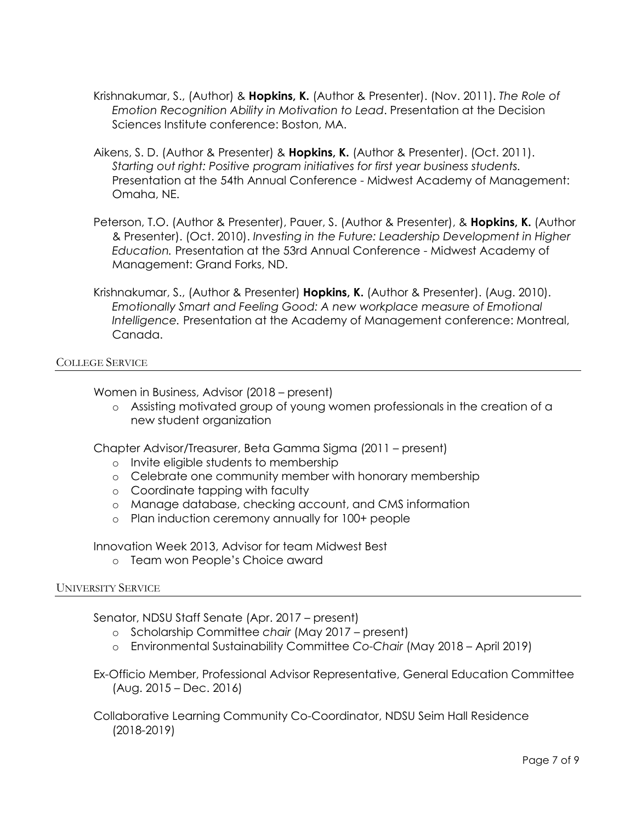- Krishnakumar, S., (Author) & **Hopkins, K.** (Author & Presenter). (Nov. 2011). *The Role of Emotion Recognition Ability in Motivation to Lead*. Presentation at the Decision Sciences Institute conference: Boston, MA.
- Aikens, S. D. (Author & Presenter) & **Hopkins, K.** (Author & Presenter). (Oct. 2011). *Starting out right: Positive program initiatives for first year business students.* Presentation at the 54th Annual Conference - Midwest Academy of Management: Omaha, NE.
- Peterson, T.O. (Author & Presenter), Pauer, S. (Author & Presenter), & **Hopkins, K.** (Author & Presenter). (Oct. 2010). *Investing in the Future: Leadership Development in Higher Education.* Presentation at the 53rd Annual Conference - Midwest Academy of Management: Grand Forks, ND.
- Krishnakumar, S., (Author & Presenter) **Hopkins, K.** (Author & Presenter). (Aug. 2010). *Emotionally Smart and Feeling Good: A new workplace measure of Emotional Intelligence.* Presentation at the Academy of Management conference: Montreal, Canada.

COLLEGE SERVICE

Women in Business, Advisor (2018 – present)

o Assisting motivated group of young women professionals in the creation of a new student organization

Chapter Advisor/Treasurer, Beta Gamma Sigma (2011 – present)

- o Invite eligible students to membership
- o Celebrate one community member with honorary membership
- o Coordinate tapping with faculty
- o Manage database, checking account, and CMS information
- o Plan induction ceremony annually for 100+ people

Innovation Week 2013, Advisor for team Midwest Best

o Team won People's Choice award

#### UNIVERSITY SERVICE

Senator, NDSU Staff Senate (Apr. 2017 – present)

- o Scholarship Committee *chair* (May 2017 present)
- o Environmental Sustainability Committee *Co-Chair* (May 2018 April 2019)

Ex-Officio Member, Professional Advisor Representative, General Education Committee (Aug. 2015 – Dec. 2016)

Collaborative Learning Community Co-Coordinator, NDSU Seim Hall Residence (2018-2019)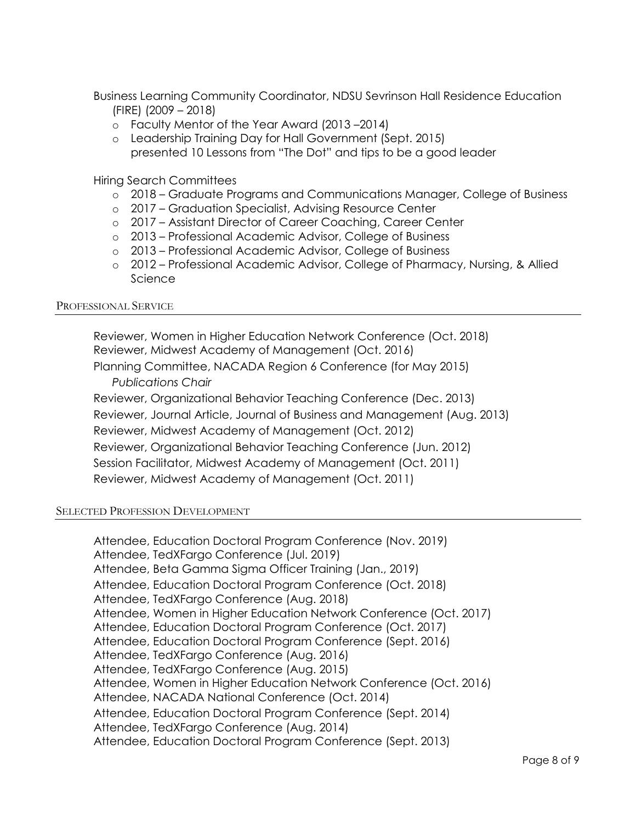Business Learning Community Coordinator, NDSU Sevrinson Hall Residence Education (FIRE) (2009 – 2018)

- o Faculty Mentor of the Year Award (2013 –2014)
- o Leadership Training Day for Hall Government (Sept. 2015) presented 10 Lessons from "The Dot" and tips to be a good leader

Hiring Search Committees

- o 2018 Graduate Programs and Communications Manager, College of Business
- o 2017 Graduation Specialist, Advising Resource Center
- o 2017 Assistant Director of Career Coaching, Career Center
- o 2013 Professional Academic Advisor, College of Business
- o 2013 Professional Academic Advisor, College of Business
- o 2012 Professional Academic Advisor, College of Pharmacy, Nursing, & Allied **Science**

#### PROFESSIONAL SERVICE

Reviewer, Women in Higher Education Network Conference (Oct. 2018) Reviewer, Midwest Academy of Management (Oct. 2016) Planning Committee, NACADA Region 6 Conference (for May 2015) *Publications Chair* Reviewer, Organizational Behavior Teaching Conference (Dec. 2013) Reviewer, Journal Article, Journal of Business and Management (Aug. 2013) Reviewer, Midwest Academy of Management (Oct. 2012) Reviewer, Organizational Behavior Teaching Conference (Jun. 2012) Session Facilitator, Midwest Academy of Management (Oct. 2011) Reviewer, Midwest Academy of Management (Oct. 2011)

#### SELECTED PROFESSION DEVELOPMENT

Attendee, Education Doctoral Program Conference (Nov. 2019) Attendee, TedXFargo Conference (Jul. 2019) Attendee, Beta Gamma Sigma Officer Training (Jan., 2019) Attendee, Education Doctoral Program Conference (Oct. 2018) Attendee, TedXFargo Conference (Aug. 2018) Attendee, Women in Higher Education Network Conference (Oct. 2017) Attendee, Education Doctoral Program Conference (Oct. 2017) Attendee, Education Doctoral Program Conference (Sept. 2016) Attendee, TedXFargo Conference (Aug. 2016) Attendee, TedXFargo Conference (Aug. 2015) Attendee, Women in Higher Education Network Conference (Oct. 2016) Attendee, NACADA National Conference (Oct. 2014) Attendee, Education Doctoral Program Conference (Sept. 2014) Attendee, TedXFargo Conference (Aug. 2014) Attendee, Education Doctoral Program Conference (Sept. 2013)